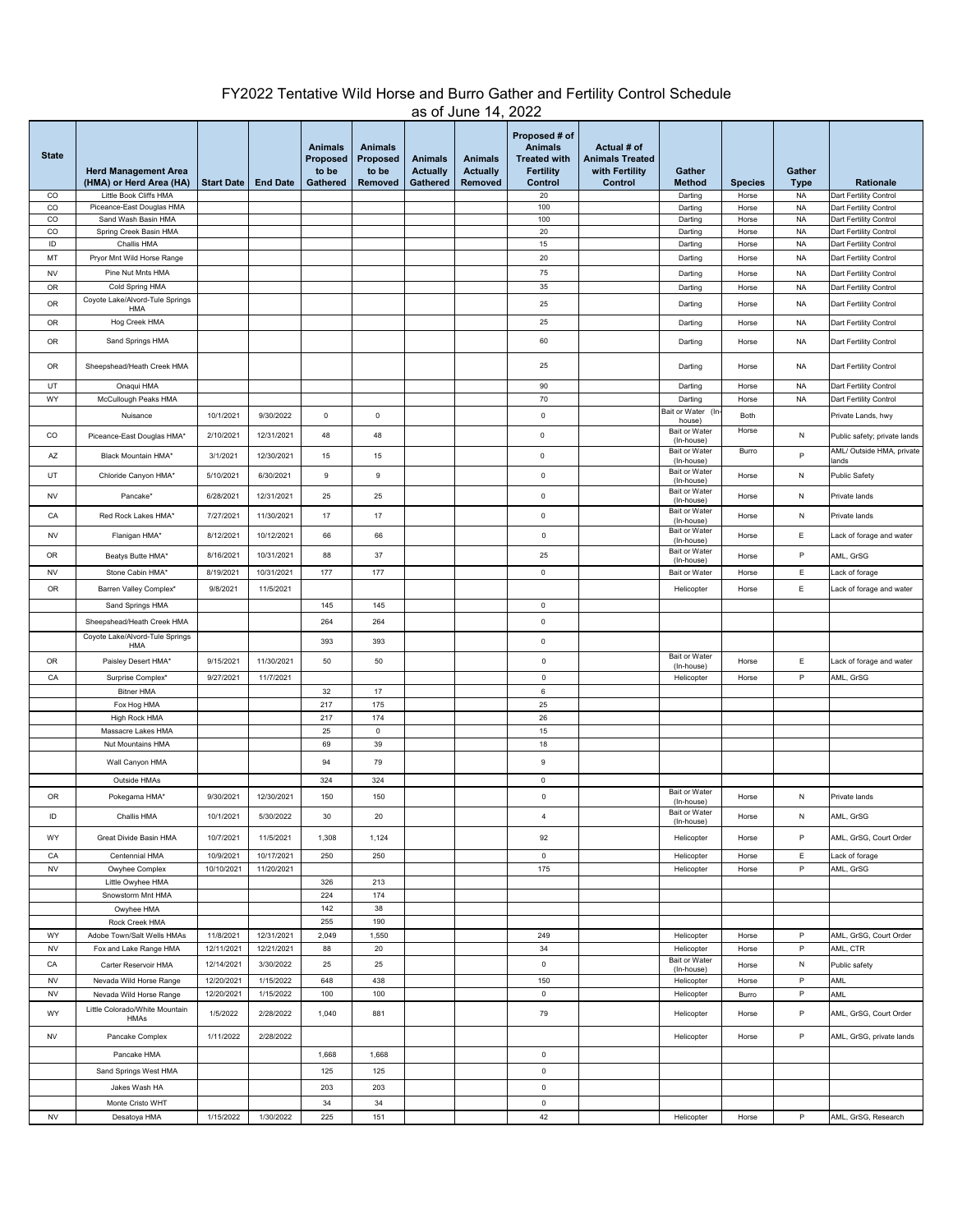## FY2022 Tentative Wild Horse and Burro Gather and Fertility Control Schedule as of June 14, 2022

| <b>State</b>      | <b>Herd Management Area</b><br>(HMA) or Herd Area (HA) | <b>Start Date</b> | <b>End Date</b> | <b>Animals</b><br>Proposed<br>to be<br>Gathered | <b>Animals</b><br><b>Proposed</b><br>to be<br>Removed | <b>Animals</b><br><b>Actually</b><br>Gathered | <b>Animals</b><br><b>Actually</b><br>Removed | Proposed # of<br><b>Animals</b><br><b>Treated with</b><br><b>Fertility</b><br>Control | Actual # of<br><b>Animals Treated</b><br>with Fertility<br>Control | Gather<br><b>Method</b>                          | <b>Species</b> | Gather<br><b>Type</b>  | Rationale                                        |
|-------------------|--------------------------------------------------------|-------------------|-----------------|-------------------------------------------------|-------------------------------------------------------|-----------------------------------------------|----------------------------------------------|---------------------------------------------------------------------------------------|--------------------------------------------------------------------|--------------------------------------------------|----------------|------------------------|--------------------------------------------------|
| CO                | Little Book Cliffs HMA                                 |                   |                 |                                                 |                                                       |                                               |                                              | 20                                                                                    |                                                                    | Darting                                          | Horse          | <b>NA</b>              | Dart Fertility Control                           |
| $_{\rm CO}$       | Piceance-East Douglas HMA                              |                   |                 |                                                 |                                                       |                                               |                                              | 100                                                                                   |                                                                    | Darting                                          | Horse          | <b>NA</b>              | Dart Fertility Control                           |
| CO<br>$_{\rm CO}$ | Sand Wash Basin HMA<br>Spring Creek Basin HMA          |                   |                 |                                                 |                                                       |                                               |                                              | 100<br>20                                                                             |                                                                    | Darting<br>Darting                               | Horse<br>Horse | <b>NA</b><br><b>NA</b> | Dart Fertility Control<br>Dart Fertility Control |
| ID                | Challis HMA                                            |                   |                 |                                                 |                                                       |                                               |                                              | 15                                                                                    |                                                                    | Darting                                          | Horse          | <b>NA</b>              | Dart Fertility Control                           |
| MT                | Pryor Mnt Wild Horse Range                             |                   |                 |                                                 |                                                       |                                               |                                              | 20                                                                                    |                                                                    | Darting                                          | Horse          | <b>NA</b>              | Dart Fertility Control                           |
| <b>NV</b>         | Pine Nut Mnts HMA                                      |                   |                 |                                                 |                                                       |                                               |                                              | 75                                                                                    |                                                                    | Darting                                          | Horse          | <b>NA</b>              | Dart Fertility Control                           |
| OR                | Cold Spring HMA                                        |                   |                 |                                                 |                                                       |                                               |                                              | 35                                                                                    |                                                                    | Darting                                          | Horse          | <b>NA</b>              | Dart Fertility Control                           |
| OR                | Coyote Lake/Alvord-Tule Springs                        |                   |                 |                                                 |                                                       |                                               |                                              | 25                                                                                    |                                                                    | Darting                                          | Horse          | <b>NA</b>              | Dart Fertility Control                           |
|                   | HMA                                                    |                   |                 |                                                 |                                                       |                                               |                                              |                                                                                       |                                                                    |                                                  |                |                        |                                                  |
| OR                | Hog Creek HMA                                          |                   |                 |                                                 |                                                       |                                               |                                              | 25                                                                                    |                                                                    | Darting                                          | Horse          | <b>NA</b>              | Dart Fertility Control                           |
| OR                | Sand Springs HMA                                       |                   |                 |                                                 |                                                       |                                               |                                              | 60                                                                                    |                                                                    | Darting                                          | Horse          | <b>NA</b>              | Dart Fertility Control                           |
| OR                | Sheepshead/Heath Creek HMA                             |                   |                 |                                                 |                                                       |                                               |                                              | 25                                                                                    |                                                                    | Darting                                          | Horse          | <b>NA</b>              | Dart Fertility Control                           |
| UT                | Onaqui HMA                                             |                   |                 |                                                 |                                                       |                                               |                                              | 90                                                                                    |                                                                    | Darting                                          | Horse          | <b>NA</b>              | Dart Fertility Control                           |
| WY                | McCullough Peaks HMA                                   |                   |                 |                                                 |                                                       |                                               |                                              | 70                                                                                    |                                                                    | Darting                                          | Horse          | <b>NA</b>              | Dart Fertility Control                           |
|                   | Nuisance                                               | 10/1/2021         | 9/30/2022       | $\mathsf 0$                                     | 0                                                     |                                               |                                              | $\mathbf 0$                                                                           |                                                                    | Bait or Water (In<br>house)                      | Both           |                        | Private Lands, hwy                               |
| CO                | Piceance-East Douglas HMA*                             | 2/10/2021         | 12/31/2021      | 48                                              | 48                                                    |                                               |                                              | $\mathbf 0$                                                                           |                                                                    | <b>Bait or Water</b><br>(In-house)               | Horse          | ${\sf N}$              | Public safety; private lands                     |
| AZ                | Black Mountain HMA*                                    | 3/1/2021          | 12/30/2021      | 15                                              | 15                                                    |                                               |                                              | $\mathbf 0$                                                                           |                                                                    | <b>Bait or Water</b><br>(In-house)               | Burro          | P                      | AML/ Outside HMA, private<br>ands                |
| UT                | Chloride Canyon HMA*                                   | 5/10/2021         | 6/30/2021       | 9                                               | $\mathsf g$                                           |                                               |                                              | $\mathbf 0$                                                                           |                                                                    | <b>Bait or Water</b><br>(In-house)               | Horse          | N                      | <b>Public Safety</b>                             |
| <b>NV</b>         | Pancake*                                               | 6/28/2021         | 12/31/2021      | 25                                              | 25                                                    |                                               |                                              | $\mathbf 0$                                                                           |                                                                    | Bait or Water                                    | Horse          | N                      | Private lands                                    |
| CA                | Red Rock Lakes HMA*                                    | 7/27/2021         | 11/30/2021      | 17                                              | 17                                                    |                                               |                                              | $\mathbf 0$                                                                           |                                                                    | (In-house)<br><b>Bait or Water</b><br>(In-house) | Horse          | N                      | Private lands                                    |
| <b>NV</b>         | Flanigan HMA*                                          | 8/12/2021         | 10/12/2021      | 66                                              | 66                                                    |                                               |                                              | $\mathbf 0$                                                                           |                                                                    | <b>Bait or Water</b><br>(In-house)               | Horse          | Е                      | Lack of forage and water                         |
| OR                | Beatys Butte HMA*                                      | 8/16/2021         | 10/31/2021      | 88                                              | 37                                                    |                                               |                                              | 25                                                                                    |                                                                    | <b>Bait or Water</b>                             | Horse          | P                      | AML, GrSG                                        |
| <b>NV</b>         | Stone Cabin HMA*                                       | 8/19/2021         | 10/31/2021      | 177                                             | 177                                                   |                                               |                                              | $\mathbf 0$                                                                           |                                                                    | (In-house)<br>Bait or Water                      | Horse          | Ε                      | Lack of forage                                   |
| 0R                |                                                        | 9/8/2021          |                 |                                                 |                                                       |                                               |                                              |                                                                                       |                                                                    |                                                  |                |                        |                                                  |
|                   | Barren Valley Complex*                                 |                   | 11/5/2021       |                                                 |                                                       |                                               |                                              |                                                                                       |                                                                    | Helicopter                                       | Horse          | Е                      | Lack of forage and water                         |
|                   | Sand Springs HMA                                       |                   |                 | 145                                             | 145                                                   |                                               |                                              | $\mathbf 0$                                                                           |                                                                    |                                                  |                |                        |                                                  |
|                   | Sheepshead/Heath Creek HMA                             |                   |                 | 264                                             | 264                                                   |                                               |                                              | $\mathbf 0$                                                                           |                                                                    |                                                  |                |                        |                                                  |
|                   | Coyote Lake/Alvord-Tule Springs<br>HMA                 |                   |                 | 393                                             | 393                                                   |                                               |                                              | $\pmb{0}$                                                                             |                                                                    |                                                  |                |                        |                                                  |
| OR                | Paisley Desert HMA*                                    | 9/15/2021         | 11/30/2021      | 50                                              | 50                                                    |                                               |                                              | $\mathbb O$                                                                           |                                                                    | <b>Bait or Water</b><br>(In-house)               | Horse          | Ε                      | Lack of forage and water                         |
| CA                | Surprise Complex*                                      | 9/27/2021         | 11/7/2021       |                                                 |                                                       |                                               |                                              | $\mathbf 0$                                                                           |                                                                    | Helicopter                                       | Horse          | $\mathsf P$            | AML, GrSG                                        |
|                   | <b>Bitner HMA</b>                                      |                   |                 | 32                                              | 17                                                    |                                               |                                              | 6                                                                                     |                                                                    |                                                  |                |                        |                                                  |
|                   | Fox Hog HMA                                            |                   |                 | 217                                             | 175                                                   |                                               |                                              | 25                                                                                    |                                                                    |                                                  |                |                        |                                                  |
|                   | High Rock HMA                                          |                   |                 | 217                                             | 174                                                   |                                               |                                              | 26                                                                                    |                                                                    |                                                  |                |                        |                                                  |
|                   | Massacre Lakes HMA                                     |                   |                 | 25                                              | $\mathbf 0$                                           |                                               |                                              | $15\,$                                                                                |                                                                    |                                                  |                |                        |                                                  |
|                   | Nut Mountains HMA<br>Wall Canyon HMA                   |                   |                 | 69<br>94                                        | 39<br>79                                              |                                               |                                              | 18<br>$\mathsf g$                                                                     |                                                                    |                                                  |                |                        |                                                  |
|                   |                                                        |                   |                 |                                                 |                                                       |                                               |                                              |                                                                                       |                                                                    |                                                  |                |                        |                                                  |
|                   | Outside HMAs                                           |                   |                 | 324                                             | 324                                                   |                                               |                                              | $\mathbf 0$                                                                           |                                                                    | Bait or Water                                    |                |                        |                                                  |
| OR                | Pokegama HMA*                                          | 9/30/2021         | 12/30/2021      | 150                                             | 150                                                   |                                               |                                              | $\mathbb O$                                                                           |                                                                    | (In-house)                                       | Horse          | N                      | Private lands                                    |
| ID                | Challis HMA                                            | 10/1/2021         | 5/30/2022       | 30 <sup>°</sup>                                 | 20                                                    |                                               |                                              | 4                                                                                     |                                                                    | <b>Bait or Water</b><br>(In-house)               | Horse          | N                      | AML, GrSG                                        |
| WY                | Great Divide Basin HMA                                 | 10/7/2021         | 11/5/2021       | 1,308                                           | 1,124                                                 |                                               |                                              | 92                                                                                    |                                                                    | Helicopter                                       | Horse          | P                      | AML, GrSG, Court Order                           |
| CA                | Centennial HMA                                         | 10/9/2021         | 10/17/2021      | 250                                             | 250                                                   |                                               |                                              | $\mathbf 0$                                                                           |                                                                    | Helicopter                                       | Horse          | Ε                      | Lack of forage                                   |
| ${\sf NV}$        | Owyhee Complex                                         | 10/10/2021        | 11/20/2021      |                                                 |                                                       |                                               |                                              | 175                                                                                   |                                                                    | Helicopter                                       | Horse          | $\mathsf{P}$           | AML, GrSG                                        |
|                   | Little Owyhee HMA                                      |                   |                 | 326                                             | 213                                                   |                                               |                                              |                                                                                       |                                                                    |                                                  |                |                        |                                                  |
|                   | Snowstorm Mnt HMA<br>Owyhee HMA                        |                   |                 | 224<br>142                                      | 174<br>38                                             |                                               |                                              |                                                                                       |                                                                    |                                                  |                |                        |                                                  |
|                   | Rock Creek HMA                                         |                   |                 | 255                                             | 190                                                   |                                               |                                              |                                                                                       |                                                                    |                                                  |                |                        |                                                  |
| WY                | Adobe Town/Salt Wells HMAs                             | 11/8/2021         | 12/31/2021      | 2,049                                           | 1,550                                                 |                                               |                                              | 249                                                                                   |                                                                    | Helicopter                                       | Horse          | P                      | AML, GrSG, Court Order                           |
| <b>NV</b>         | Fox and Lake Range HMA                                 | 12/11/2021        | 12/21/2021      | 88                                              | 20                                                    |                                               |                                              | 34                                                                                    |                                                                    | Helicopter                                       | Horse          | $\mathsf P$            | AML, CTR                                         |
| CA                | Carter Reservoir HMA                                   | 12/14/2021        | 3/30/2022       | 25                                              | 25                                                    |                                               |                                              | $\mathsf 0$                                                                           |                                                                    | <b>Bait or Water</b>                             | Horse          | ${\sf N}$              | Public safety                                    |
| <b>NV</b>         | Nevada Wild Horse Range                                | 12/20/2021        | 1/15/2022       | 648                                             | 438                                                   |                                               |                                              | 150                                                                                   |                                                                    | (In-house)<br>Helicopter                         | Horse          | $\mathsf{P}$           | AML                                              |
| <b>NV</b>         | Nevada Wild Horse Range                                | 12/20/2021        | 1/15/2022       | 100                                             | 100                                                   |                                               |                                              | $\mathbf 0$                                                                           |                                                                    | Helicopter                                       | Burro          | P                      | <b>AML</b>                                       |
| WY                | Little Colorado/White Mountain<br>HMAs                 | 1/5/2022          | 2/28/2022       | 1,040                                           | 881                                                   |                                               |                                              | 79                                                                                    |                                                                    | Helicopter                                       | Horse          | $\mathsf{P}$           | AML, GrSG, Court Order                           |
| <b>NV</b>         | Pancake Complex                                        | 1/11/2022         | 2/28/2022       |                                                 |                                                       |                                               |                                              |                                                                                       |                                                                    | Helicopter                                       | Horse          | P                      | AML, GrSG, private lands                         |
|                   | Pancake HMA                                            |                   |                 | 1,668                                           | 1,668                                                 |                                               |                                              | $\mathbf 0$                                                                           |                                                                    |                                                  |                |                        |                                                  |
|                   | Sand Springs West HMA                                  |                   |                 | 125                                             | 125                                                   |                                               |                                              | $\mathbf 0$                                                                           |                                                                    |                                                  |                |                        |                                                  |
|                   |                                                        |                   |                 | 203                                             | 203                                                   |                                               |                                              | $\mathbf 0$                                                                           |                                                                    |                                                  |                |                        |                                                  |
|                   | Jakes Wash HA                                          |                   |                 |                                                 |                                                       |                                               |                                              |                                                                                       |                                                                    |                                                  |                |                        |                                                  |
|                   | Monte Cristo WHT                                       | 1/15/2022         | 1/30/2022       | 34<br>225                                       | 34<br>151                                             |                                               |                                              | $\mathbf 0$<br>42                                                                     |                                                                    |                                                  |                | P                      |                                                  |
| NV                | Desatoya HMA                                           |                   |                 |                                                 |                                                       |                                               |                                              |                                                                                       |                                                                    | Helicopter                                       | Horse          |                        | AML, GrSG, Research                              |